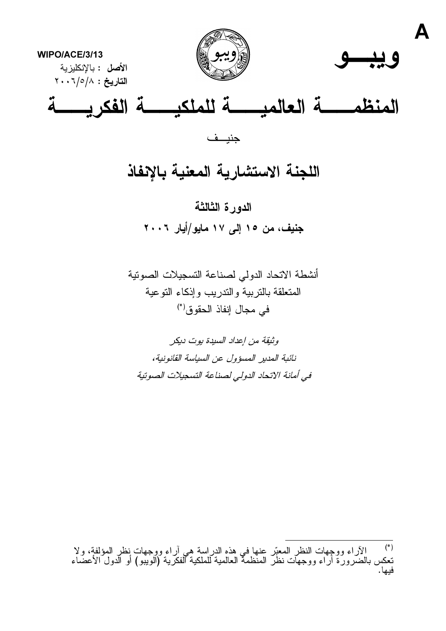



 $\blacktriangle$ 

WIPO/ACE/3/13 ا**لأصل :** بالإنكليز ية التاريخ: ٢٠٠٦/٥/٨

# 

جنيــف

## اللجنة الاستشارية المعنية بالإنفاذ

الدورة الثالثة جنيف، من ١٥ إلى ١٧ مايو/أيار ٢٠٠٦

أنشطة الاتحاد الدولى لصناعة التسجيلات الصونية المتعلقة بالتربية والندريب وإذكاء التوعية في مجال إنفاذ الحقوق (\*)

وثيقة من إعداد السيدة يوت ديكر نائبة المدير المسؤول عن السياسة القانونية، في أمانة الاتحاد الدولي لصناعة التسجيلات الصوتية

<sup>(\*)</sup> الأراء ووجهات النظر المعبّر عنها في هذه الدراسة هي أراء ووجهات نظر المؤلفة، ولا<br>تعكس بالضرورة أراء ووجهات نظر المنظمة العالمية للملكية الفكرية (الويبو) أو الدول الأعضـاء<br>فيها.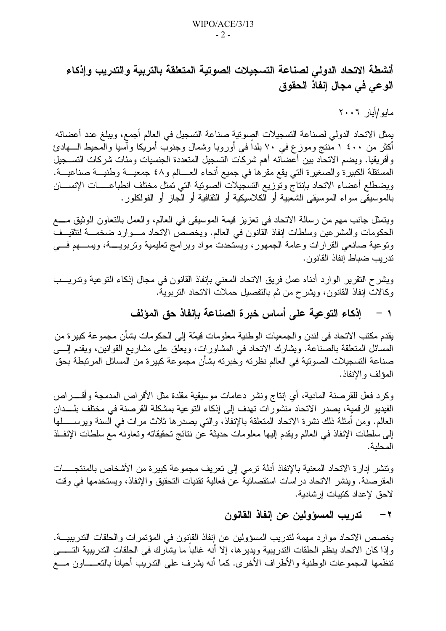أنشطة الاتحاد الدولي لصناعة التسجيلات الصوتية المتعلقة بالتربية والتدريب وإذكاء الوعي في مجال إنفاذ الحقوق

مابو /أبار ٢٠٠٦

يمثل الاتحاد الدولي لصناعة التسجيلات الصوتية صناعة التسجيل في العالم أجمع، ويبلغ عدد أعضائه أكثر من ٤٠٠ ١ مَنتج وموزع في ٧٠ بلداً في أوروبا وشمال وجنوب أمريكا وأسيا والمحيط الــــهادئ وأفريقيا. ويضم الاتحاد بين أعضائه أهم شركات التسجيل المتعددة الجنسيات ومئات شركات التسـجيل المستقلة الكبيرة والصغيرة التي يقع مقرها في جميع أنحاء العسالم و٤٨ جمعيـــة وطنيـــة صناعيـــة. ويضطلع أعضاء الانحاد بإنتاج وتوزيع التسجيلات الصوتية التي نمثل مختلف انطباعــــات الإنســـان بالموسيقى سواء الموسيقى الشعبية أو الكلاسيكية أو الثقافية أو الجاز أو الفولكلور .

ويتمثَّل جانب مهم من رسالة الاتحاد في تعزيز قيمة الموسيقي في العالم، والعمل بالتعاون الوثيق مــــع الحكومات والمشرعين وسلطات إنفاذ القانون في العالم. ويخصص الانحاد مـــوارد ضخمـــة لتثقيــف ونوعية صانعي القرارات وعامة الجمهور، ويستحدث مواد وبرامج نعليمية ونربويــــة، ويســـهم فــــي تدر بب ضباط انفاذ القانون.

ويشرح النقرير الوارد أدناه عمل فريق الاتحاد المعني بإنفاذ القانون في مجال إذكاء النوعية وتدريـــب وكالات إنفاذ القانون، ويشرح من ثم بالتفصيل حملات الاتحاد التربوية.

#### إذكاء التوعية على أساس خبرة الصناعة بإنفاذ حق المؤلف  $\lambda$

يقدم مكتب الاتحاد في لندن والجمعيات الوطنية معلومات قيمّة إلى الحكومات بشأن مجموعة كبيرة من المسائل المتعلقة بالصناعة. ويشارك الانحاد في المشاورات، ويعلق على مشاريع القوانين، ويقدم إلـــي صناعة التسجيلات الصونية في العالم نظرته وخبرته بشأن مجموعة كبيرة من المسائل المرتبطة بحق المؤلف والإنفاذ.

وكرد فعل للقرصنة المادية، أي إنتاج ونشر دعامات موسيقية مقلدة مثل الأقراص المدمجة وأقـــــراص الفيديو الرقمية، يصدر الاتحاد منشورات تهدف إلى إذكاء التوعية بمشكلة القرصنة في مختلف بلـــدان العالم. ومن أمثلة ذلك نشرة الاتحاد المنعلقة بالإنفاذ، والتـي يصدر ها ثلاث مرات فـي السنة ويرســــــلها إلى سلطات الإنفاذ في العالم ويقدم إليها معلومات حديثة عن نتائج تحقيقاته وتعاونه مع سلطات الإنفــلذ المحلبة.

ونتشر إدارة الاتحاد المعنية بالإنفاذ أدلة نرمى إلى نعريف مجموعة كبيرة من الأشخاص بالمنتجــــات المقر صنة. وينشر الاتحاد در اسات استقصائية عن فعالية تقنيات التحقيق والإنفاذ، ويستخدمها في وقت لاحق لإعداد كتيبات إر شادية.

#### تدريب المسؤولين عن إنفاذ القانون  $-7$

يخصص الاتحاد موارد مهمة لتدريب المسؤولين عن إنفاذ القانون في المؤتمرات والحلقات التدريبيـــة. وإذا كان الاتحاد ينظم الحلقات التدريبية ويدير ها، إلا أنه غالبا ما يشارك في الحلقات التدريبية التـــــي تنظمها المجموعات الوطنية والأطراف الأخرى. كما أنه يشرف على الندريب أحياناً بالنعـــــاون مــــع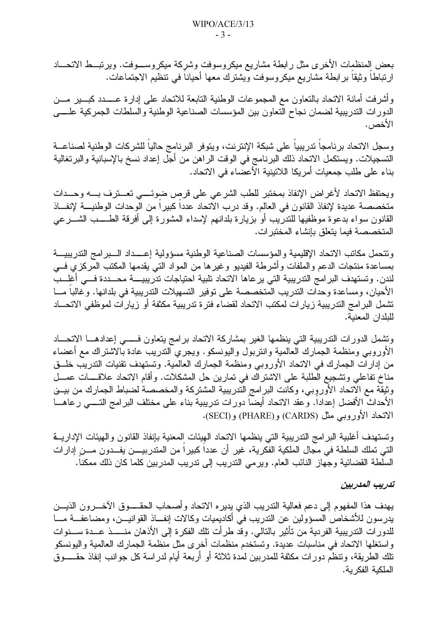بعض المنظمات الأخرى مثل رابطة مشاريع ميكروسوفت وشركة ميكروســـوفت. ويرتبـــط الاتحـــاد ارتباطًا وثيقًا برابطة مشاريع ميكروسوفت ويشترك معها أحيانا في نتظيم الاجتماعات.

وأشرفت أمانة الاتحاد بالنعاون مع المجموعات الوطنية النابعة للانحاد على إدارة عــــدد كبـــير مـــن الدورات الندريبية لضمان نجاح النعاون بين المؤسسات الصناعية الوطنية والسلطات الجمركية علسى الأخص .

وسجل الاتحاد برنامجاً ندريبياً على شبكة الإنترنت، ويتوفر البرنامج حالياً للشركات الوطنية لصناعـــة التسجيلات. ويستكمل الاتحاد ذلك البرنامج في الوقت الراهن من أجل إعداد نسخ بالإسبانية والبرتغالية بناء على طلب جمعيات أمريكا اللاتينية الأعصاء في الاتحاد.

ويحتفظ الاتحاد لأغراض الإنفاذ بمختبر للطب الشرعي على قرص ضوئسي تعسترف بسه وحسدات متخصصة عديدة لإنفاذ القانون في العالم. وقد درب الاتحاد عدداً كبيراً من الوحدات الوطنيـــة لإنفـــاذ القانون سواء بدعوة موظفيها للندريب أو بزيارة بلدانهم لإسداء المشورة إلى أفرقة الطــــب الشـــرعى المتخصصة فيما يتعلق بإنشاء المختبر ات.

ونتحمل مكانب الاتحاد الإقليمية والمؤسسات الصناعية الوطنية مسؤولية إعسداد السبرامج الندريبية بمساعدة منتجات الدعم والملفات وأشرطة الفيديو وغيرها من المواد التبي يقدمها المكتب المركزي فسي لندن. وتستهدف البر امج التدريبية التي يرعاها الاتحاد تلبية احتياجات تدريبيـــــة محــــددة فــــي أغلـــب الأحيان، ومساعدة وحدات الندريب المتخصصة على توفير التسهيلات الندريبية في بلدانها. وغالباً مـــا تشمل البرامج التدريبية زيارات لمكتب الاتحاد لقضاء فترة تدريبية مكثفة أو زيارات لموظفى الاتحـــاد للبلدان المعنية.

ونشمل الدورات التدريبية التي ينظمها الغير بمشاركة الاتحاد برامج يتعاون فسمى إعدادهــا الاتحـــاد الأوروبي ومنظمة الجمارك العالمية وانتربول واليونسكو. ويجري الندريب عادة بالاشتراك مع أعضاء من إدارات الجمارك في الاتحاد الأوروبي ومنظمة الجمارك العالمية. وتستهدف تقنيات التدريب خلـــق مناخ نفاعلي ونشجيع الطلبة على الاشتراك في تمارين حل المشكلات. وأقام الاتحاد علاقــــات عمـــل وثيقة مع الاتحاد الأوروبي، وكانت البرامج التدريبية المشتركة والمخصصة لضباط الجمارك من بيـــن الأحداث الأفضل إعداداً. وعقد الاتحاد أيضاً دورات تدريبية بناء على مختلف البرامج التــــى رعاهـــا الاتحاد الأوروبي مثل (CARDS) و(PHARE) و(SECI).

وتستهدف أغلبية البرامج التدريبية التي ينظمها الاتحاد الهيئات المعنية بإنفاذ القانون والهيئات الإداريـــة التي تملك السلطة في مجال الملكية الفكرية، غير أن عدداً كبيراً من المتدربيــــن يفـــدون مــــن إدارات السلطة القضائية وجهاز النائب العام. ويرمى الندريب إلى ندريب المدربين كلما كان ذلك ممكنا.

تدريب المدربين

يهدف هذا المفهوم إلى دعم فعالية التدريب الذي يديره الاتحاد وأصبحاب الحقيوق الآخيرون الذيبين يدرسون للأشخاص المسؤولين عن الندريب في أكاديميات وكالات إنفــاذ القوانيـــن، ومضاعفـــة مـــا للدورات التدريبية الفردية من تأثير بالتالي. وقد طرأت تلك الفكرة إلى الأذهان منسسذ عسدة سسنوات و استغلها الاتحاد في مناسبات عديدة. وتستخدم منظمات أخر ي مثل منظمة الجمارك العالمية واليونسكو تلك الطريقة، وتنظم دورات مكثفة للمدربين لمدة ثلاثة أو أربعة أيام لدراسة كل جوانب إنفاذ حقـــــوق الملكبة الفكر بة.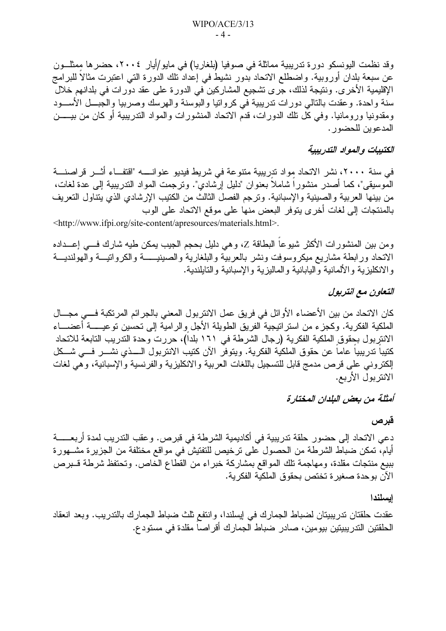وقد نظمت اليونسكو دورة تدريبية مماثلة في صوفيا (بلغاريا) في مايو/أيار ٢٠٠٤، حضرها ممثلون عن سبعة بلدان أوروبية. واضطلع الاتحاد بدور نشيط في إعداد نلك الدورة التي اعتبرت مثالا للبرامج الإقليمية الأخرى. ونتيجة لذلك، جرى تشجيع المشاركين في الدورة على عقد دورات في بلدانهم خلال سنة واحدة. وعقدت بالتالي دورات تدريبية في كرواتيا والبوسنة والهرسك وصربيا والجبـــل الأســـود ومقدونيا ورومانيا. وفي كل تلك الدورات، قدم الاتحاد المنشورات والمواد الندريبية أو كان من بيـــــن المدعوين للحضور .

#### الكتيبات والمواد التدريبية

في سنة ٢٠٠٠، نشر الاتحاد مواد تدريبية متنوعة في شريط فيديو عنوانـــــه "اقتفـــاء أثـــر قراصنــــة الموسيقى"، كما أصدر منشورا شاملا بعنوان "دليل إرشادي". ونرجمت المواد الندريبية إلى عدة لغات، من بينها العربية والصينية والإسبانية. وترجم الفصل الثالث من الكتيب الإرشادي الذي يتناول التعريف بالمنتجات إلى لغات أخرى يتوفر البعض منها على موقع الاتحاد على الوب

<http://www.ifpi.org/site-content/apresources/materials.html>.

ومن بين المنشورات الأكثر شيوعاً البطاقة Z، وهي دليل بحجم الجيب يمكن طيه شارك فـــي إعـــداده الاتحاد ورابطة مشاريع ميكروسوفت ونشر بالعربية والبلغارية والصينيـــــة والكرواتيـــة والهولنديـــة والانكليزية والألمانية واليابانية والماليزية والإسبانية والنابلندية.

#### التعاون مع انتربول

كان الاتحاد من بين الأعضاء الأوائل في فريق عمل الانتربول المعني بالجرائم المرتكبة فـــي مجـــال الملكية الفكرية. وكجزء من استراتيجية الفريق الطويلة الأجل والرامية إلى نحسين نوعيـــــة أعضـــــاء الانتربول بحقوق الملكية الفكرية (رجال الشرطة في ١٦١ بلدا)، حررت وحدة التدريب التابعة للاتحاد كتيبا تدريبيا عاما عن حقوق الملكية الفكرية. ويتوفر الآن كتيب الانتربول الــــذي نشـــر فـــي شـــكل الكتروني على قرص مدمج قابل للتسجيل باللغات العربية والانكليزية والفرنسية والإسبانية، وهي لغات الانتربول الأربع.

أمثلة من بعض البلدان المختارة

قبرص

دعى الاتحاد إلى حضور حلقة تدريبية في أكاديمية الشرطة في قبرص. وعقب التدريب لمدة أربعــــــة أيام، تمكن ضباط الشرطة من الحصول على ترخيص للتفتيش في مواقع مختلفة من الجزيرة مشــهورة ببيع منتجات مقلدة، ومهاجمة نلك المواقع بمشاركة خبراء من القطاع الخاص. وتحتفظ شرطة قــبرص الآن بوحدة صغيرة تختص بحقوق الملكية الفكرية.

#### ابسلندا

عقدت حلقتان تدريبيتان لضباط الجمارك في إيسلندا، وانتفع ثلث ضباط الجمارك بالتدريب. وبعد انعقاد الْحَلْقَتِينِ التَّدرِيبِيتِينِ بِيومِينٍ، صادر ضباط الجمارك أقراصا مقلدة في مستودع.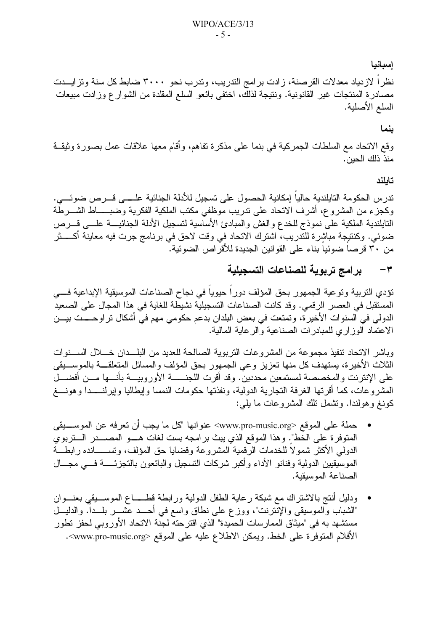#### إسبانيا

نظرا لازدياد معدلات القرصنة، زادت برامج التدريب، وتدرب نحو ٣٠٠٠ ضابط كل سنة وتزايــدت مصادرة المنتجات غير القانونية. ونتيجة لذلك، اختفى بائعو السلع المقلدة من الشوار ع وزادت مبيعات السلع الأصلية.

#### ينما

وقع الاتحاد مع السلطات الجمركية في بنما على مذكرة تفاهم، وأقام معها علاقات عمل بصورة وثيقــة منذ ذلك الحين.

#### تايلند

تدرس الحكومة التايلندية حالياً إمكانية الحصول على تسجيل للأدلة الجنائية علــــى قـــرص ضوئــــى. وكجزء من المشروع، أشرف الاتحاد على ندريب موظفي مكتب الملكية الفكرية وضبـــــاط الشــــرطَّة النابلندية الملكية على نموذج للخدع والغش والمبادئ الأساسية لتسجيل الأدلة الجنائيــــة علــــي قــــرص ضوئي. وكنتيجة مباشرة للتدريب، اشترك الاتحاد في وقت لاحق في برنامج جرت فيه معاينة أكـــــثر من ٣٠ قرصا ضوئيا بناء على القوانين الجديدة للأقراص الضوئية.

#### برامج تربوية للصناعات التسجيلية  $-\tau$

تؤدي التربية وتوعية الجمهور بحق المؤلف دوراً حيوياً في نجاح الصناعات الموسيقية الإبداعية فـــي المستقبل في العصر الرقمي. وقد كانت الصناعات التسجيلية نشيطة للغاية في هذا المجال على الصعيد الدولي في السنوات الأخير ة، وتمتعت في بعض البلدان بدعم حكومي مهم في أشكال تر اوحــــت بيـــن الاعتماد الوزاري للمبادرات الصناعية والرعاية المالية.

وباشر الاتحاد تنفيذ مجموعة من المشروعات التربوية الصالحة للعديد من البلــدان خـــلال الســـنوات الثلاث الأخيرة، يستهدف كل منها تعزيز وعي الجمهور بحق المؤلف والمسائل المتعلقــــة بالموســــيقى على الإنترنت والمخصصة لمستمعين محددين. وقد أقرت اللجنـــــــة الأوروبيــــة بأنــــها مـــن أفضــــل المشروعات، كما أقرتها الغرفة التجارية الدولية، ونفذتها حكومات النمسا وإيطاليا وإيرلنــــدا وهونــــغ كونغ وهولندا. وتشمل نلك المشروعات ما يلي:

- حملة على الموقع <www.pro-music.org> عنوانها "كل ما يجب أن تعرفه عن الموســــيقى المتوفرة على الخط". وهذا الموقع الذي يبث برامجه بست لغات هـــو المصــــدر الــــتربوي الدولمي الأكثر شمولا للخدمات الرقمية المشروعة وقضايا حق المؤلف، وتســــــانده رابطـــة الموسيقيين الدولية وفنانو الأداء وأكبر شركات التسجيل والبائعون بالتجزئـــــة فــــى مجــــال الصناعة الموسيقية.
- ودليل أنتج بالاشتراك مع شبكة رعاية الطفل الدولية ورابطة فطــــاع الموســـيقى بعنـــوان "الشباب والموسيقى والإُنَّترنت"، ووزع على نطاق واسع في أحـــد عُشـــر بلـــداً. والدليـــل مستشهد به في "ميثاق الممارسات الحميدة" الذي اقترحته لجنة الاتحاد الأوروبي لحفز تطور الأفلام المتوفرة على الخط. ويمكن الاطلاع عليه على الموقع <www.pro-music.org>.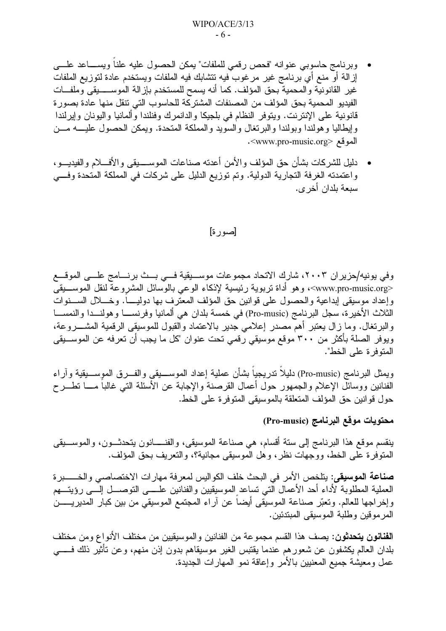وبرنامج حاسوبي عنوانه "فحص رقمي للملفات" بمكن الحصول عليه علناً ويســـاعد علـــي إزالة أو منع أي برنامج غير مرغوب فيه تتشابك فيه الملفات ويستخدم عادة لتوزيع الملفات غير القانونية والمحمية بحق المؤلف. كما أنه يسمح للمستخدم بإزالة الموســــــيقى وملفـــات الفيديو المحمية بحق المؤلف من المصنفات المشتركة للحاسوب التي تنقل منها عادة بصور ة قانونية على الإنترنت. ويتوفر النظام في بلجيكا والدانمرك وفنلندا وألمانيا واليونان وإيرلندا وإيطاليا وهولندا وبولندا والبرنغال والسويد والمملكة المتحدة. ويمكن الحصول عليسه مسن الموقع <www.pro-music.org>.

دليل للشركات بشأن حق المؤلف والأمن أعدته صناعات الموســـــيقى والأفــــلام والفيديــــو ، واعتمدته الغرفة التجارية الدولية. وتم توزيع الدليل على شركات في المملكة المتحدة وفسي سبعة بلدان أخر ي.

#### [صور ة]

وفي يونيه/حزير ان ٢٠٠٣، شارك الاتحاد مجموعات موسـيقية فــي بــث برنـــامج علــي الموقـــع <www.pro-music.org>، وهو أداة نربوية رئيسية لإذكاء الوعي بالوسائل المشروعة لنقل الموســـيقى وإعداد موسيقى إبداعية والحصول على قوانين حق المؤلف المعترف بها دوليبً. وخـــلال الســـنوات الثلاث الأخيرة، سجل البرنامج (Pro-music) في خمسة بلدان هي ألمانيا وفرنســــا وهولنــــدا والنمســــا والبرنغال. وما زال يعتبر أهم مصدر إعلامي جدير بالاعتماد والقبول للموسيقى الرقمية المشــــروعة، ويوفر الصلة بأكثر من ٣٠٠ موقع موسيقي رقمي تحت عنوان "كل ما يجب أن تعرفه عن الموســيقى المتوفر ة على الخط".

ويمثل البرنامج (Pro-music) دليلاً ندريجياً بشأن عملية إعداد الموســـيقى والفــرق الموســـيقية وآراء الفنانين ووسائل الإعلام والجمهور حول أعمال القرصنة والإجابة عن الأسئلة التبي غالبا مسا نطـــرح حول قوانين حق المؤلف المنعلقة بالموسيقى المنوفر ة على الخط.

#### محتويات موقع البرنامج (Pro-music)

ينقسم موقع هذا البرنامج إلى سنة أقسام، هي صناعة الموسيقي، والفنـــــانون يتحدثـــون، والموســــيقى المتوفرة على الخط، ووجهات نظر ، وهل الموسيقى مجانية؟، والنعريف بحق المؤلف.

صناعة الموسيقي: يتلخص الأمر في البحث خلف الكواليس لمعرفة مهارات الاختصاصبي والخــــــبرة العملية المطلوبة لأداء أحد الأعمال التبي نساعد الموسيقيين والفنانين علىسي النوصـــل إلـــي رؤيتــــهم وإخراجها للعالم. وتعبَّر صناعة الموسيقي أيضا عن آراء المجتمع الموسيقي من بين كبار المديريــــــن المر مو قبن و طلبة الموسيقى المبتدئين.

ا**لفنانون يتحدثون**: يصف هذا القسم مجموعة من الفنانين والموسيقيين من مختلف الأنواع ومن مختلف بلدان العالم يكشفون عن شعورهم عندما يقتبس الغير موسيقاهم بدون إذن منهم، وعن تأثير ذلك فـــــي عمل ومعيشة جميع المعنيين بالأمر وإعاقة نمو المهارات الجديدة.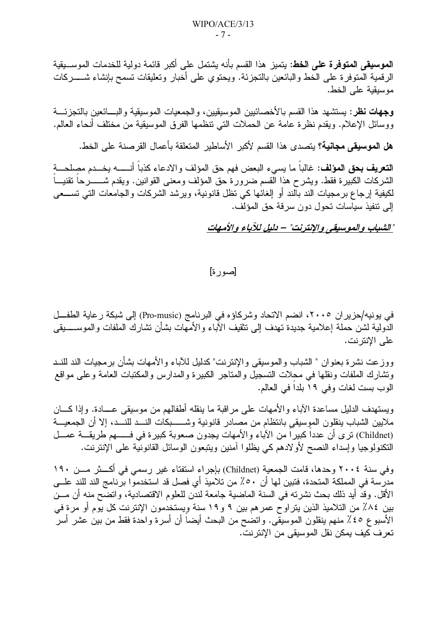**الموسيقي المتوفرة على الخط**: يتميز هذا القسم بأنه يشتمل على أكبر قائمة دولية للخدمات الموســبقية الرقمية المتوفرة على الخط والبائعين بالنجزئة. ويحتوي على أخبار وتعليقات تسمح بإنشاء شـــــــركات موسيقية على الخط.

**وجهات نظر**: يستشهد هذا القسم بالأخصـائيين الموسيقيين، والجمعيات الموسيقية والبــــائعين بالتجزئــــة ووسائل الإعلام. ويقدم نظرة عامة عن الحملات التي تنظمها الفرق الموسيقية من مختلف أنحاء العالم.

هل الموسيقى مجانية؟ يتصدى هذا القسم لأكبر الأساطير المتعلقة بأعمال القرصنة على الخط.

**التعريف بحق المؤلف**: غالبا ما يسيء البعض فهم حق المؤلف والادعاء كذباً أنــــــه بخـــدم مصلحـــة الشركات الكبيرة فقط. ويشرح هذا القسم ضرورة حق المؤلف ومعنى القوانين. ويقدم شــــــــرحاً تقنيــــاً لكيفية إرجاع برمجيات الند بالند أو إلغائها كي نظل قانونية، ويرشد الشركات والجامعات التي تســـعي إلى نتفيذ سياسات تحول دون سرقة حق المؤلف.

"الشباب والموسيقى والإنترنت" – دليل للآباء والأمهات

[صور ة]

في بونيه/حزير ان ٢٠٠٥، انضم الاتحاد وشركاؤه في البرنامج (Pro-music) إلى شبكة رعاية الطفـــل الدولية لشن حملة إعلامية جديدة تهدف إلى نتقيف الأباء والأمهات بشأن نشارك الملفات والموســــــيقى على الإنترنت.

ووزعت نشرة بعنوان " الشباب والموسيقى والإنترنت" كدليل للأباء والأمهات بشأن برمجيات الند للنـد ونشارك الملفات ونقلها في محلات التسجيل والمتاجر الكبيرة والمدارس والمكتبات العامة وعلى مواقع الوب بست لغات وفي ١٩ بلدا في العالم.

ويستهدف الدليل مساعدة الآباء والأمهات على مراقبة ما ينقله أطفالهم من موسيقى عـــادة. وإذا كـــان ملايين الشباب ينقلون الموسيقى بانتظام من مصادر قانونية وشــــــبكات النـــد للنـــد، إلا أن الجمعيـــة (Childnet) ترى أن عدداً كبيراً من الآباء والأمهات يجدون صعوبة كبيرة في فـــــهم طريقـــة عمـــل النكنولوجيا وإسداء النصح لأولادهم كي يظلوا آمنين ويتبعون الوسائل القانونية على الإنترنت.

وفي سنة ٢٠٠٤ وحدها، قامت الجمعية (Childnet) بإجراء استفتاء غير رسمي في أكـــثر مـــن ١٩٠ مدرسة في المملكة المتحدة، فتبين لها أن 0٠٪ من تلاميذ أي فصل قد استخدموا برنامج الند للند علــي الأقل. وقد أيد ذلك بحث نشرته في السنة الماضية جامعة لندن للعلوم الاقتصادية، واتضح منه أن مـــن بين ٨٤٪ من التلاميذ الذين يتراوح عمر هم بين ٩ و ١٩ سنة ويستخدمون الإنترنت كل يوم أو مرة في الأسبو ع ٤٥٪ منهم ينقلون الموسيقي. واتضح من البحث أيضا أن أسرة واحدة فقط من بين عشر أسر تعر ف كيف بمكن نقل الموسيقى من الإنتر نت.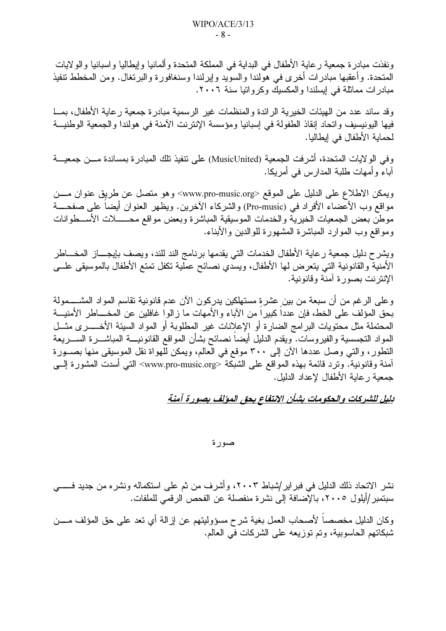ونفذت مبادرة جمعية رعاية الأطفال في البداية في المملكة المتحدة وألمانيا وإيطاليا واسبانيا والولايات المتحدة. وأعقبها مبادرات أخرى في هولندا والسويد وإيرلندا وسنغافورة والبرتغال. ومن المخطط تنفيذ مبادرات مماثلة في إيسلندا والمكسيك وكرواتيا سنة ٢٠٠٦.

وقد ساند عدد من الهيئات الخيرية الرائدة والمنظمات غير الرسمية مبادرة جمعية رعاية الأطفال، بمـــا فيها اليونيسيف واتحاد إنقاذ الطفولة في إسبانيا ومؤسسة الإنترنت الآمنة في هولندا والجمعية الوطنيـــة لحماية الأطفال في إيطاليا.

وفي الولايات المتحدة، أشرفت الجمعية (MusicUnited) على تنفيذ تلك المبادرة بمساندة مـــن جمعيـــة آباءً وأمهات طلبة المدارس في أمريكا.

ويمكن الاطلاع على الدليل على الموقع <www.pro-music.org> وهو متصل عن طريق عنوان مـــن مواقع وب الأعضاء الأفراد في (Pro-music) والشركاء الآخرين. ويظهر العنوان أيضا على صفحــــة موطن بعض الجمعيات الخيرية والخدمات الموسيقية المباشرة وبعض مواقع محــــــلات الأســـطوانات ومواقع وب الموارد المباشرة المشهورة للوالدين والأبناء.

ويشرح دليل جمعية رعاية الأطفال الخدمات التبي يقدمها برنامج الند للند، ويصف بإيجــــاز المخــــاطر الأمنية والقانونية التي يتعرض لمها الأطفال، ويسدي نصائح عملية تكفل تمتع الأطفال بالموسيقى علـــى الإنتر نت بصور ة آمنة وقانونية.

وعلى الرغم من أن سبعة من بين عشرة مستهلكين يدركون الآن عدم قانونية تقاسم المواد المشــــمولة بحق المؤلف على الخط، فإن عددا كبيرًا من الأباء والأمهات ما زالوا غافلين عن المخــــاطر الأمنيـــة المحتملة مثل محتويات البر امج الضارة أو الإعلانات غير المطلوبة أو المواد السيئة الأخــــــرى مثـــل المواد النجسسية والفيروسات. ويقدم الدليل أيضا نصائح بشأن المواقع القانونيــــة المباشـــــرة الســـــريعة النطور، والتي وصل عددها الآن إلى ٣٠٠ موقع في العالم، ويمكن للهواة نقل الموسيقي منها بصـورة آمنة وقانونية. وترد قائمة بهذه المواقع على الشبكة <www.pro-music.org> التي أسدت المشورة إلــي جمعية ر عاية الأطفال لإعداد الدليل.

#### يليل للشركات والحكومات بشأن الانتفاع بحق المؤلف بصورة آمنة

صورة

نشر الاتحاد ذلك الدليل في فبر اير/شباط ٢٠٠٣، وأشرف من ثم على استكماله ونشره من جديد فـــــي سبتمبر /أيلول ٢٠٠٥، بالإضافة إلى نشرة منفصلة عن الفحص الرقمي للملفات.

وكان الدليل مخصصاً لأصحاب العمل بغية شرح مسؤوليتهم عن إزالة أي تعد على حق المؤلف مــــن شبكاتهم الحاسوبية، وتم توزيعه على الشركات في العالم.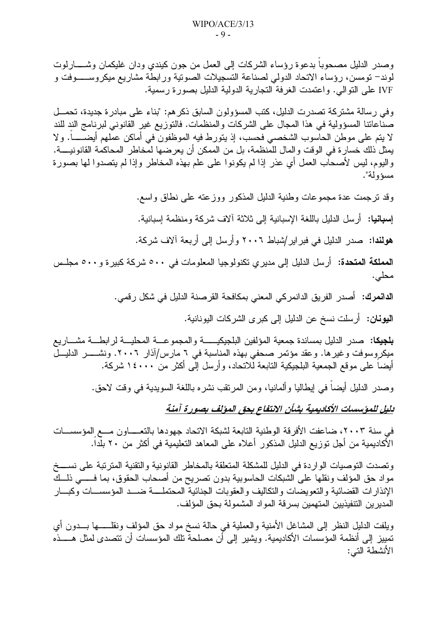وصدر الدليل مصحوبا بدعوة رؤساء الشركات إلىي العمل من جون كيندي ودان غليكمان وشـــــارلوت لوند– تومسن، رؤساء الاتحاد الدولي لصناعة التسجيلات الصونية ورابطة مشاريع ميكروســـــوفت و IVF على النوالي. واعتمدت الغرفة التجارية الدولية الدليل بصورة رسمية.

وفي رسالة مشتركة تصدرت الدليل، كتب المسؤولون السابق ذكر هم: "بناء على مبادرة جديدة، تحمــل صناعاتنا المسؤولية في هذا المجال على الشركات والمنظمات. فالتوزيع غير القانوني لبرنامج الند للند لا يتم على موطن الحاسوب الشخصبي فحسب، إذ يتورط فيه الموظفون في أماكن عملهم أيضـــــــاً. ولا يمثل ذلك خسارة في الوقت والمال للمنظمة، بل من الممكن أن يعرضها لمخاطر المحاكمة القانونيــــة. واليوم، ليس لأصحاب العمل أي عذر إذا لم يكونوا على علم بهذه المخاطر وإذا لم يتصدوا لمها بصورة مسؤ و له".

وقد نرجمت عدة مجموعات وطنية الدليل المذكور ووزعته على نطاق واسع.

إ**سبانيا:** أرسل الدليل باللغة الإسبانية إلى ثلاثة ألاف شركة ومنظمة إسبانية.

هولندا: صدر الدليل في فبراير/شباط ٢٠٠٦ وأرسل إلى أربعة آلاف شركة.

المملكة المتحدة: أرسل الدليل إلى مديري تكنولوجيا المعلومات في ٥٠٠ شركة كبيرة و٥٠٠ مجلـس محلي.

**الدانمرك: أ**صدر الفريق الدانمركي المعنى بمكافحة القرصنة الدليل في شكل رق*مي*.

**اليونـان:** أرسلت نسخ عن الدليل إلى كبر ى الشركات اليونـانيـة.

**بلجيكا:** صدر الدليل بمساندة جمعية المؤلفين البلجيكيـــــــة والمجموعــــة المحليــــة لرابطـــة مشــــاريـع ميكروسوفت وغيرها. وعقد مؤتمر صحفى بهذه المناسبة في ٦ مارس/آذار ٢٠٠٦. ونشـــــــر الدليـــل أيضاً على موقع الجمعية البلجيكية التابعة لِّلاتحاد، وأرسل إلِّي أكثر من ١٤٠٠٠ شركة.

وصدر الدليل أيضا في إيطاليا وألمانيا، ومن المرنقب نشره باللغة السويدية في وقت لاحق.

بليل للمؤسسات الأكاديمية بشأن الانتفاع بحق المؤلف بصورة آمنة

في سنة ٢٠٠٣، ضاعفت الأفرقة الوطنية التابعة لشبكة الاتحاد جهودها بالتعــــاون مـــع المؤسســـات الأكاديمية من أجل توزيع الدليل المذكور أعلاه على المعاهد التعليمية في أكثر من ٢٠ بلَّداً.

وتصدت التوصيات الواردة في الدليل للمشكلة المتعلقة بالمخاطر القانونية والتقنية المترتبة على نســـخ مواد حق المؤلف ونقلها على الشبكات الحاسوبية بدون تصريح من أصحاب الحقوق، بما فـــــى ذلـــك الإنذارات القضائية والتعويضات والتكاليف والعقوبات الجنائية المحتملسة ضسد المؤسسسات وكبسار المدبر بن التنفيذبين المتهمين بسر قة المو اد المشمو لة بـحق المؤلف.

ويلفت الدليل النظر إلى المشاغل الأمنية والعملية في حالة نسخ مواد حق المؤلف ونقلـــــها بـــدون أي تمييز إلى أنظمة المؤسسات الأكاديمية. ويشير إلى أن مصلحة تلك المؤسسات أن تتصدى لمثل هـــــذه الأنشطة التي: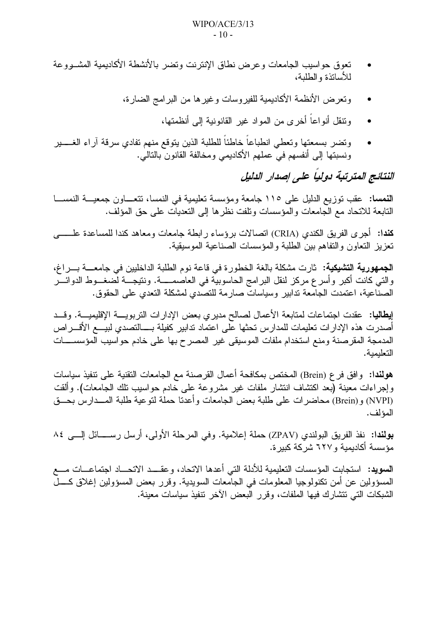- تعوق حواسيب الجامعات وعرض نطاق الإنترنت وتضر بالأنشطة الأكاديمية المشــووعة للأسانذة والطلبة،
	- وتعرض الأنظمة الأكاديمية للفيروسات وغيرها من البرامج الضارة،
		- وتتقل أنو اعاً أخر ي من المو اد غير القانونية إلى أنظمتها،
- ونضر بسمعتها ونعطى انطباعا خاطئا للطلبة الذين يتوقع منهم نفادي سرقة أراء الغسير ونسبتها إلى أنفسهم فيّ عملهم الأكاديمي ومخالفة القانون بالتالي.

النتائج المترتبة دولياً على إصدار الدليل

النمسا: عقب توزيع الدليل على ١١٥ جامعة ومؤسسة تعليمية في النمسا، تتعــاون جمعيـــة النمســـا النابعة للاتحاد مع الجامعات والمؤسسات وتلفت نظرها إلى التعديات على حق المؤلف.

كندا: أجر ي الفريق الكندي (CRIA) اتصالات برؤساء ر ابطة جامعات ومعاهد كندا للمساعدة علـــــــي نعزيز النعاون والنفاهم ببن الطلبة والمؤسسات الصناعية الموسيقية.

**الجمهورية التشيكية:** ثارت مشكلة بالغة الخطورة في قاعة نوم الطلبة الداخليين في جامعــــة بــــراغ، والتي كانت أكبر وأسرع مركز لنقل البرامج الحاسوبية في العاصمـــــة. ونتيجـــة لضغـــوط الدوائــــر الصناعية، اعتمدت الجامعة تدابير وسياسات صارمة للتصدي لمشكلة التعدي على الحقوق.

إ**يطاليا:** عقدت اجتماعات لمتابعة الأعمال لصالح مديرى بعض الإدارات التربويــــة الإقليميــــة. وقـــد أصدرت هذه الإدار ات تعليمات للمدارس تحثها على اعتماد تدابير كفيلة بــــالتصدى لبيــــع الأقــــراص المدمجة المقرصنة ومنع استخدام ملفات الموسيقى غير المصرح بها على خادم حواسيب المؤسســـات التعلىمية.

هولندا: وافق فر ع (Brein) المختص بمكافحة أعمال القرصنة مع الجامعات التقنية على تنفيذ سياسات وإجراءات معينة (بعد اكتشاف انتشار ملفات غير مشروعة على خادم حواسيب نلك الجامعات). وألقت (NVPI) و(Brein) محاضرات على طلبة بعض الجامعات وأعدنا حملة لتوعية طلبة المــدارس بحــق المؤ لف.

بولندا: نفذ الفريق البولندي (ZPAV) حملة إعلامية. وفي المرحلة الأولى، أرسل رســـائل إلـــي ٨٤ مؤسسة أكادبمية و ٦٢٧ شر كة كبير ة.

**السويد:** استجابت المؤسسات التعليمية للأدلة التي أعدها الاتحاد، وعقـــد الاتحـــاد اجتماعـــات مـــع المسؤولين عن أمن تكنولوجيا المعلومات في الجامعات السويدية. وقرر بعض المسؤولين إغلاق كــــل الشبكات التي نتشارك فيها الملفات، وقرر البعض الآخر نتفيذ سياسات معينة.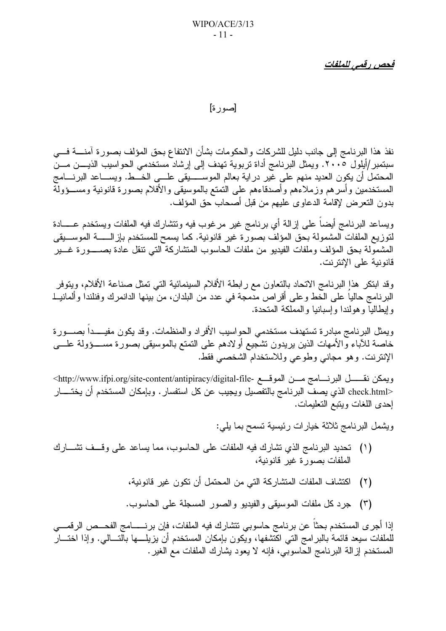فحص رقمي للملفات

[صورة]

نفذ هذا البرنامج إلى جانب دليل للشركات والحكومات بشأن الانتفاع بحق المؤلف بصورة آمنــــة فــــى سبتمبر/أيلول ٢٠٠٥. ويمثل البرنامج أداة تربوية تهدف إلى إرشاد مستخدمي الحواسيب الذيــــن مـــن المحتمل أن يكون العديد منهم على غير دراية بعالم الموســـــيقى علــــى الخـــط. ويســـاعد البرنــــامج المستخدمين وأسرهم وزملاءهم وأصدقاءهم على التمتع بالموسيقي والأفلام بصورة قانونية ومســؤولة بدون التعرض لإقامة الدعاوى عليهم من قبل أصحاب حق المؤلف.

ويساعد البرنامج أيضآ على إزالة أي برنامج غير مرغوب فيه ونتشارك فيه الملفات ويستخدم عـــــادة لتوزيع الملفات المشمولة بحق المؤلف بصورة غير قانونية. كما يسمح للمستخدم بإزالــــــة الموســـيقى المشمولة بحق المؤلف وملفات الفيديو من ملفات الحاسوب المتشاركة التي نتقل عادة بصـــــورة غــــير قانو نية على الإنتر نت.

وقد ابتكر هذا البرنامج الاتحاد بالنعاون مع رابطة الأفلام السينمائية التبي تمثل صناعة الأفلام، ويتوفر البرنامج حاليا على الخط وعلى أقراص مدمجة في عدد من البلدان، من بينها الدانمرك وفنلندا وألمانيــلـ و إيطاليا و هو لندا و إسبانيا و المملكة المتحدة.

ويمثِّل البرنامج مبادرة تستهدف مستخدمي الحواسيب الأفراد والمنظمات. وقد يكون مفيــــدا بصــــورة خاصة للأباء والأمهات الذين يريدون تشجيع أولادهم على التمتع بالموسيقى بصورة مســــؤولة علــــي الإنترنت. وهو مجانبي وطوعي وللاستخدام الشخصبي فقط.

ويمكن نقــــــل البرنــــامج مــــن الموقــــع -http://www.ifpi.org/site-content/antipiracy/digital-file> <check.html الذي يصف البرنامج بالتفصيل ويجيب عن كل استفسار . وبإمكان المستخدم أن يختــــار إحدى اللغات ويتبع التعليمات.

ويشمل البرنامج ثلاثة خيارات رئيسية تسمح بما يلي:

- (١) نحديد البرنامج الذي تشارك فيه الملفات على الحاسوب، مما يساعد على وقف تشارك الملفات بصور ة غير قانونية،
	- اكتشاف الملفات المتشاركة التي من المحتمل أن تكون غير قانونية،  $(\Upsilon)$
	- (٣) جرد كل ملفات الموسيقى والفيديو والصور المسجلة على الحاسوب.

إذا أجرى المستخدم بحثاً عن برنامج حاسوبي نتشارك فيه الملفات، فإن برنــــــامج الفحـــص الرقمــــي للملفات سيعد قائمة بالبرامج التبي اكتشفها، ويكون بإمكان المستخدم أن يزيلــــها بالتـــالـي. وإذا اختـــار المستخدم إزالة البرنامج الحاسوبي، فإنه لا يعود بشارك الملفات مع الغير .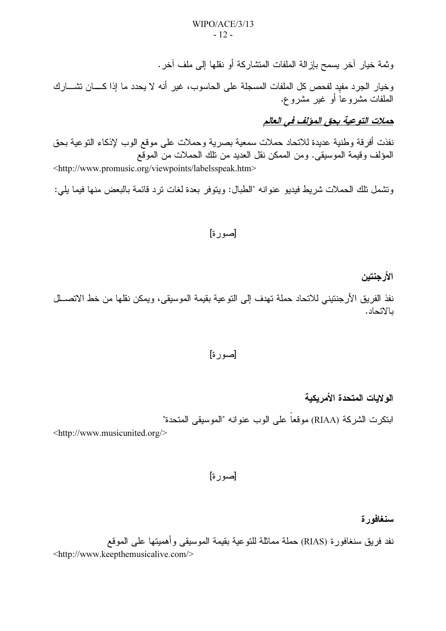وثمة خيار آخر يسمح بإزالة الملفات المتشاركة أو نقلها إلى ملف آخر .

وخيار الجرد مفيد لفحص كل الملفات المسجلة على الحاسوب، غير أنه لا يحدد ما إذا كــــان تشــــارك الملفات مشروعاً أو غير مشروع.

حملات التوعية بحق المؤلف في العالم

نفذت أفرقة وطنية عديدة للاتحاد حملات سمعية بصرية وحملات على موقع الوب لإذكاء النوعية بحق المؤلف وقيمة الموسيقى. ومن الممكن نقل العديد من تلك الحملات من الموقع <http://www.promusic.org/viewpoints/labelsspeak.htm>

وتشمل تلك الحملات شريط فيديو عنوانه "الطبال: ويتوفر بعدة لغات ترد قائمة بالبعض منها فيما بلي:

#### [صورة]

الأر جنتين

نفذ الفريق الأرجنتيني للاتحاد حملة تهدف إلى التوعية بقيمة الموسيقي، ويمكن نقلها من خط الاتصــلل بالاتحاد.

#### [صورة]

اله لايات المتحدة الأمر يكية

ابتكرت الشركة (RIAA) موقعاً على الوب عنوانه "الموسيقى المتحدة"

<http://www.musicunited.org/>

[صورة]

سنغافورة

نفد فريق سنغافورة (RIAS) حملة مماثلة للنوعية بقيمة الموسيقى وأهميتها على الموقع <http://www.keepthemusicalive.com/>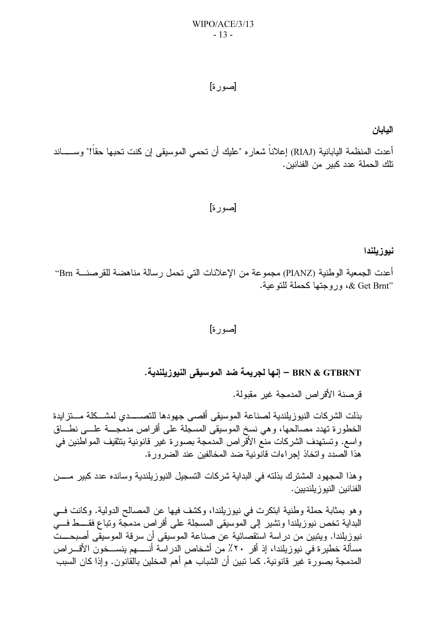#### [صور ة]

اليابان

أعدت المنظمة اليابانية (RIAJ) إعلاناً شعاره "عليك أن تحمي الموسيقى إن كنت تحبها حقاً!" وســـــاند تلك الحملة عدد كبير من الفنانين.

#### [صور ة]

#### نبوز بلندا

أعدت الجمعية الوطنية (PIANZ) مجموعة من الإعلانات التي تحمل رسالة مناهضة للقرصنـــة Brn° «& Get Brnt»، وروجتها كحملة للتوعية.

#### [صورة]

#### BRN & GTBRNT — إنها لجريمة ضد الموسيقى النيوزيلندية.

قر صنة الأقر اص المدمجة غير مقبو لة.

بذلت الشركات النيوز يلندية لصناعة الموسيقى أقصبي جهودها للتصبيدي لمشيكلة مستزايدة الخطورة تهدد مصالحها، وهي نسخ الموسيقى المسجلة على أقراص مدمجـــة علــــي نطـــاق واسع. وتستهدف الشركات منع الأقراص المدمجة بصورة غير قانونية بتثقيف المواطنين في هذا الصدد واتخاذ إجر اءات قانونية ضد المخالفين عند الضرور ة.

و هذا المجهود المشترك بذلته في البداية شركات التسجيل النيوزيلندية وسانده عدد كبير مــــن الفنانين النيو ز يلنديين .

وهو بمثابة حملة وطنية ابتكرت في نيوزيلندا، وكشف فيها عن المصالح الدولية. وكانت فــي البداية تخص نيوزيلندا وتشير إلى الموسيقى المسجلة على أقراص مدمجة وتباع فقــــط فـــيّ نيوز يلندا. ويتبين من در اسة استقصائية عن صناعة الموسيقى أن سر قة الموسيقى أصبحـــت مسألة خطير ة في نيوزيلندا، إذ أقر ٢٠٪ من أشخاص الدراسة أنـــــهم ينســـخون الأقــــراص المدمجة بصور ة غير قانونية. كما تبين أن الشباب هم أهم المخلين بالقانون. و إذا كان السبب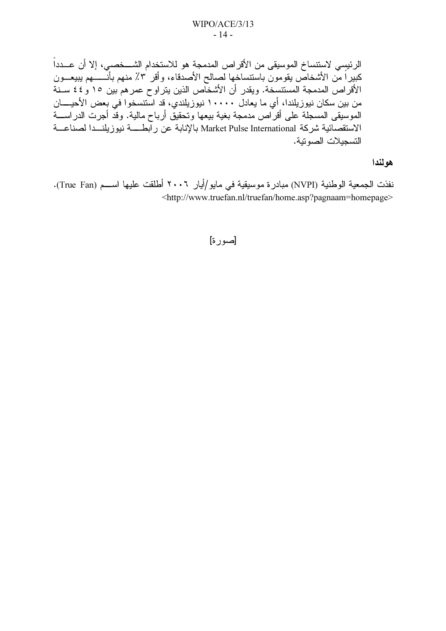الرئيسي لاستنساخ الموسيقى من الأقراص المدمجة هو للاستخدام الشــــخصـى، إلا أن عـــدداً كبيراً مّن الأشخاص يقومون باستنساخها لصالح الأصدقاء، وأقر ٣٪ منهم بأنــــــهم يبيعـــون الأقراص المدمجة المستسخة. ويقدر أن الأشخاص الذين يتراوح عمر هم بين ١٥ و ٤٤ ســنة من بين سكان نيوزيلندا، أي ما يعادل ١٠٠٠٠ نيوزيلندي، قد استنسخوا في بعض الأحيـــــان الموسيقى المسجلة على أقراص مدمجة بغية بيعها وتحقيق أرباح مالية. وقد أجرت الدراســــة الاستقصائية شركة Market Pulse International بالإنابة عن رابطــــة نيوزيلنـــدا لصناعـــة التسجيلات الصوتية.

هولندا

نفذت الجمعية الوطنية (NVPI) مبادرة موسيقية في مايو/أيار ٢٠٠٦ أطلقت عليها اســـم (True Fan). <http://www.truefan.nl/truefan/home.asp?pagnaam=homepage>

#### [صور ة]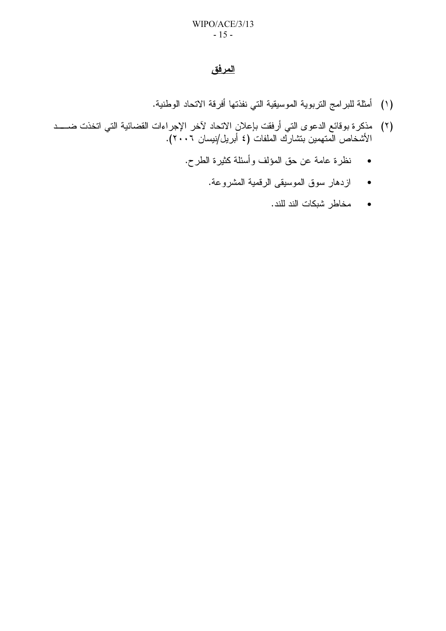#### <u>المرفق</u>

- (١) أمثلة للبرامج التربوية الموسيقية التي نفذتها أفرقة الاتحاد الوطنية.
- (٢) مذكرة بوقائع الدعوى التي أرفقت بإعلان الاتحاد لآخر الإجراءات القضائية التي اتخذت ضــــد الأشخاص المتهمين بتشارك الملفات (٤ أبريل/نيسان ٢٠٠٦).
	- نظرة عامة عن حق المؤلف وأسئلة كثيرة الطرح.
		- ازدهار سوق الموسيقى الرقمية المشروعة.
			- مخاطر شبكات الند للند.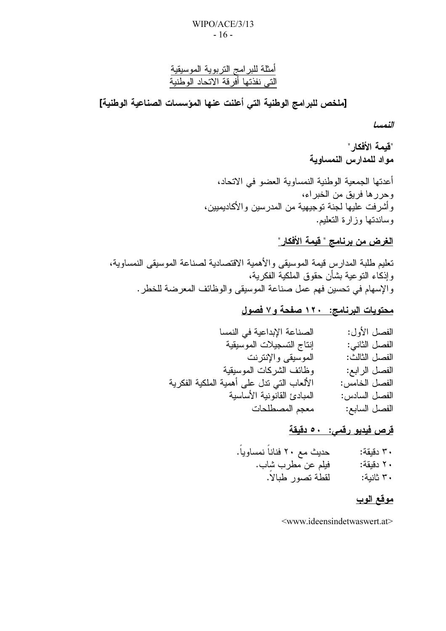أمثلة للبرامج التربوية الموسيقية<br>التي نفذتها أفرقة الاتحاد الوطنية

[ملخص للبرامج الوطنية التي أعلنت عنها المؤسسات الصناعية الوطنية]

النمسا

"قبمة الأفكار." مواد للمدارس النمساوية

أعدتها الجمعية الوطنية النمساوية العضو في الاتحاد، وحررها فريق من الخبراء، و أشر فت عليها لجنة توجيهية من المدر سين و الأكاديميين، وساندتها وزارة التعليم.

## <u>الغرض من برنامج " قيمة الأفكار "</u>

تعليم طلبة المدارس قيمة الموسيقى والأهمية الاقتصادية لصناعة الموسيقى النمساوية، و إذكاء النو عية بشأن حقوق الملكية الفكر ية، والإسهام في تحسين فهم عمل صناعة الموسيقى والوظائف المعرضة للخطر .

### محتويات البرنامج: ١٢٠ صفحة و٧ فصول

| الصناعة الإبداعية في النمسا                | الفصل الأول:  |
|--------------------------------------------|---------------|
| إنتاج التسجيلات الموسيقية                  | الفصل الثاني: |
| الموسيقي والإنترنت                         | الفصل الثالث: |
| وظائف الشركات الموسيقية                    | الفصل الرابع: |
| الألعاب التي ندل على أهمية الملكية الفكرية | الفصل الخامس: |
| المبادئ القانونية الأساسية                 | الفصل السادس: |
| معجم المصطلحات                             | الفصل السابع: |

#### قرص فيدبو رقمي: ٥٠ دقيقة

فيلم عن مطرب شاب. ۲۰ دقیقة: لقطة تصور طبالاً. ۳۰ ثانبة:

### موقع الوب

<www.ideensindetwaswert.at>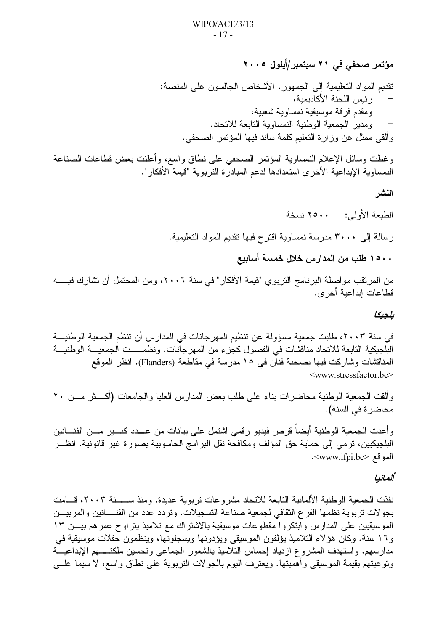مؤتمر صحفي في ٢١ سبتمبر/أيلول ٢٠٠٥

نقديم المواد النعليمية إلى الجمهور. الأشخاص الجالسون على المنصة: ر ئيس اللجنة الأكاديمية، ومقدم فرقة موسيقية نمساوية شعبية،  $\overline{\phantom{0}}$ ومدير الجمعية الوطنية النمساوية النابعة للاتحاد. و ألقى ممثل عن وز ار ة التعليم كلمة ساند فيها المؤتمر الصحفى.

وغطت وسائل الإعلام النمساوية المؤتمر الصحفى على نطاق واسع، وأعلنت بعض قطاعات الصناعة النمساوية الإبداعية الأخرى استعدادها لدعم المبادرة التربوية "قيمة الأفكار".

النشر

الطبعة الأولى: ٢٥٠٠ نسخة

رسالة إلى ٣٠٠٠ مدرسة نمساوية اقترح فيها تقديم المواد التعليمية.

١٥٠٠ طلب من المدارس خلال خمسة أسابيع

من المرتقب مواصلة البرنامج التربوي "قيمة الأفكار" في سنة ٢٠٠٦، ومن المحتمل أن نشارك فيــــــه قطاعات إبداعية أخر ي.

بلجبكا

في سنة ٢٠٠٣، طلبت جمعية مسؤولة عن تنظيم المهرجانات في المدارس أن تنظم الجمعية الوطنيـــة البلجيكية التابعة للاتحاد مناقشات في الفصول كجزء من المهرجانات. ونظمــــت الجمعيـــة الوطنيـــة المناقشات وشاركت فيها بصحبة فنان في ١٥ مدرسة في مقاطعة (Flanders). انظر الموقع <www.stressfactor.be>

وألقت الجمعية الوطنية محاضرات بناء على طلب بعض المدارس العليا والجامعات (أكــــثر مـــن ٢٠ محاضر ة في السنة).

وأعدت الجمعية الوطنية أيضاً قرص فيديو رقمي اشتمل على بيانات من عـــدد كبـــير مـــن الفنــــانين البلجيكيين، نرمي إلى حماية حق المؤلف ومكافحة نقل البر امج الحاسوبية بصورة غير قانونية. انظـــر الموقع <www.ifpi.be>.

#### ألمانيا

نفذت الجمعية الوطنية الألمانية التابعة للاتحاد مشروعات تربوية عديدة. ومنذ ســـــنة ٢٠٠٣، قـــامت بجو لات تربوية نظمها الفرع الثقافي لجمعية صناعة التسجيلات. وتردد عدد من الفنــــانين والمربيـــن الموسيقيين على المدارس وآبتكروا مقطوعات موسيقية بالاشتراك مع تلاميذ يتراوح عمرهم بيـــن ١٣ و11 سنة. وكان هؤلاء التلاميذ يؤلفون الموسيقى ويؤدونها ويسجلونها، وينظمون حفلات موسيقية في مدارسهم. واستهدف المشروع ازدياد إحساس النلاميذ بالشعور الجماعي ونحسين ملكتــــهم الإبداعيـــة ونوعيتهم بقيمة الموسيقى وأهميتها. ويعترف اليوم بالجولات التربوية على نطاق واسع، لا سيما علــي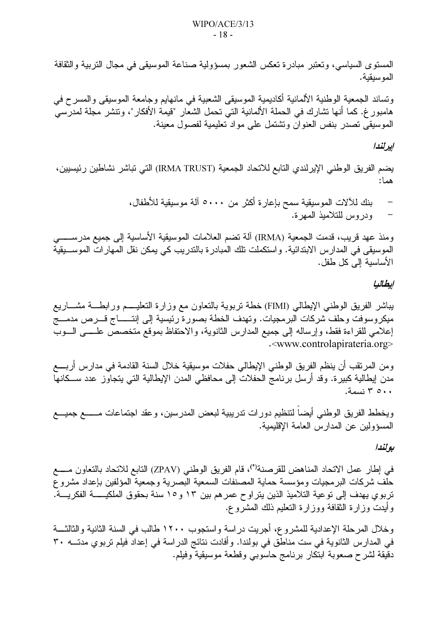المستوى السياسي، وتعتبر مبادرة تعكس الشعور بمسؤولية صناعة الموسيقى في مجال التربية والثقافة المو سيقية.

وتساند الجمعية الوطنية الألمانية أكاديمية الموسيقى الشعبية في مانهايم وجامعة الموسيقى والمسرح في هامبور غ. كما أنها نشارك في الحملة الألمانية التي تحمل الشعار "قيمة الأفكار"، ونتشر مجلة لمدرسي الموسيقى تصدر بنفس العنوان ونشتمل على مواد تعليمية لفصول معينة.

#### إيرانندا

يضم الفريق الوطني الإيرلندي التابع للاتحاد الجمعية (IRMA TRUST) التي تباشر نشاطين رئيسيين، هما :

ومنذ عهد قريب، قدمت الجمعية (IRMA) ألة نضم العلامات الموسيقية الأساسية إلى جميع مدرســــــي الموسيقى في المدارس الابتدائية. واستكملت تلك المبادرة بالتدريب كي يمكن نقل المهارات الموســبقية الأساسية إلى كل طفل.

#### ابطالبا

يباشر الفريق الوطني الإيطالي (FIMI) خطة نربوية بالنعاون مع وزارة النعليــــم ورابطـــة مشــــاريع ميكروسوفت وحلف شركات البرمجيات. وتهدف الخطة بصورة رئيسية إلى إنتـــــاج قـــرص مدمــــج إعلامي للقراءة فقط، وإرساله إلى جميع المدارس الثانوية، والاحتفاظ بموقع متخصص علــــي الـــوب .<www.controlapirateria.org>

ومن المرتقب أن ينظم الفريق الوطني الإيطالي حفلات موسيقية خلال السنة القادمة في مدارس أربـــع مدن إيطالية كبيرة. وقد أرسل برنامج الحفلات إلى محافظي المدن الإيطالية التي يتجاوز عدد ســـكانـها ٥٠٠ ٣ نسمة.

ويخطط الفريق الوطنبي أيضآ لنتظيم دورات ندريبية لبعض المدرسين، وعقد اجتماعات مـــــع جميـــع المسؤولين عن المدارس العامة الإقليمية.

#### به لندا

في إطار عمل الاتحاد المناهض للقرصنة'')، قام الفريق الوطني (ZPAV) التابع للاتحاد بالتعاون مــــع حلف شركات البرمجيات ومؤسسة حماية المصنفات السمعية البصرية وجمعية المؤلفين بإعداد مشروع تربوي يهدف إلى توعية التلاميذ الذين يتراوح عمر هم بين ١٣ و ١٥ سنة بحقوق الملكيــــــــة الفكريــــة. وأيدت وزارة الثقافة ووزارة النعليم ذلك المشروع.

وخلال المرحلة الإعدادية للمشروع، أجريت دراسة واستجوب ١٢٠٠ طالب في السنة الثانية والثالثــــة في المدارس الثانوية في ست مناطق في بولندا. وأفادت نتائج الدراسة في إعداد فيلم تربوي مدتـــه ٣٠ دقيقة لشرح صعوبة ابتكار برنامج حاسوبي وقطعة موسيقية وفيلم.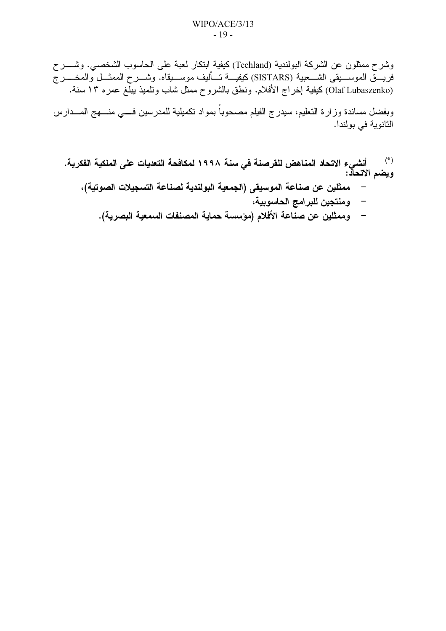وشرح ممثلون عن الشركة البولندية (Techland) كيفية ابتكار لعبة على الحاسوب الشخصبي. وشــــرح فُرْيَـــق الموســــيقى الشــــعبية (SISTARS) كيفيـــة تـــأليف موســـيقاه. وشــــرح الممشـــل والمخــــــرج (Olaf Lubaszenko) كيفية إخراج الأفلام. ونطق بالشروح ممثل شاب ونلميذ ببلغ عمره ١٣ سنة.

وبفضل مساندة وزارة النعليم، سيدرج الفيلم مصحوباً بمواد نكميلية للمدرسين فسي منسهج المسدارس الثانوية في بولندا.

- ..<br>الله على الشروع الاتحاد المناهض للقرصنة في سنة ١٩٩٨ لمكافحة التعديات على الملكية الفكرية.<br>ويضم الاتحاد:
	- ممثلين عن صناعة الموسيقى (الجمعية البولندية لصناعة التسجيلات الصوتية)،
		- ومنتجين للبرامج الحاسوبية،
		- وممثلين عن صناعة الأفلام (مؤسسة حماية المصنفات السمعية البصرية).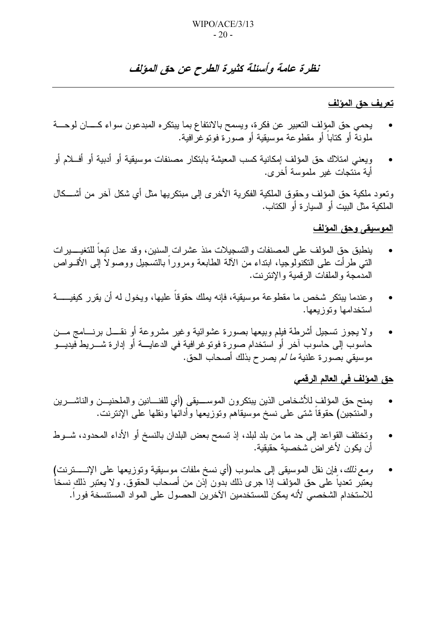## نظرة عامة وأسئلة كثيرة الطرح عن حق المؤلف

#### تعريف حق المؤلف

- يحمى حق المؤلف النعبير عن فكرة، ويسمح بالانتفاع بما يبتكره المبدعون سواء كـــان لوحـــة ملونةً أو كتاباً أو مقطوعة موسيقية أو صورة فوتوغرافية.
- ويعني امتلاك حق المؤلف إمكانية كسب المعيشة بابتكار مصنفات موسيقية أو أدبية أو أفسلام أو أية منّتجات غير ملموسة أخر ي.

وتعود ملكية حق المؤلف وحقوق الملكية الفكرية الأخرى إلى مبتكريها مثل أي شكل آخر من أشـــكال الملكية مثل البيت أو السيارة أو الكتاب.

#### الموسيقى وحق المؤلف

- ينطبق حق المؤلف على المصنفات والتسجيلات منذ عشر ات السنين، وقد عدل تبعا للتغيــــير ات النبي طرأت على النكنولوجيا، ابنداء من الآلة الطابعة ومرورا بالنسجيل ووصولا إلى الأقـــواص المدمحة والملفات الرقمية والانترنت.
- وعندما يبتكر شخص ما مقطوعة موسيقية، فإنه يملك حقوقاً عليها، ويخول له أن يقرر كيفيـــــة استخدامها وتوزبعها.
- ولا يجوز تسجيل أشرطة فيلم وبيعها بصورة عشوائية وغير مشروعة أو نقــــل برنــــامج مـــن  $\bullet$ حاسوب إلى حاسوب آخر أو استخدام صورة فوتوغرافية في الدعايــــة أو إدارة شــــريط فيديــــو موسيقي بصورة علنية *ما لم* يصرح بذلك أصحاب الحق.

#### <u>حق المؤلف في العالم الرقمي</u>

- يمنح حق المؤلف للأشخاص الذبن ببتكرون الموســـبقى (أي للفنـــانين والملحنيـــن والناشــــرين والمنتجين) حقوقا شتبي علىي نسخ موسيقاهم وتوزيعها وأدائها ونقلها علىي الإنترنت.
- وتختلف القواعد إلى حد ما من بلد لبلد، إذ تسمح بعض البلدان بالنسخ أو الأداء المحدود، شـــوط  $\bullet$ أن يكون لأغراض شخصية حقيقية.
- ومع *ذلك*، فإن نقل الموسيقى إلى حاسوب (أي نسخ ملفات موسيقية وتوزيعها على الإنـــــــترنت) يعتبر تعديا على حق المؤلف إذا جرى ذلك بدون إذن من أصـحاب الـحقوق. ولا يعتبر ذلك نسخا للاستخدام الشخصبي لأنه بمكن للمستخدمين الآخر بن الحصول على المواد المستسخة فور ا.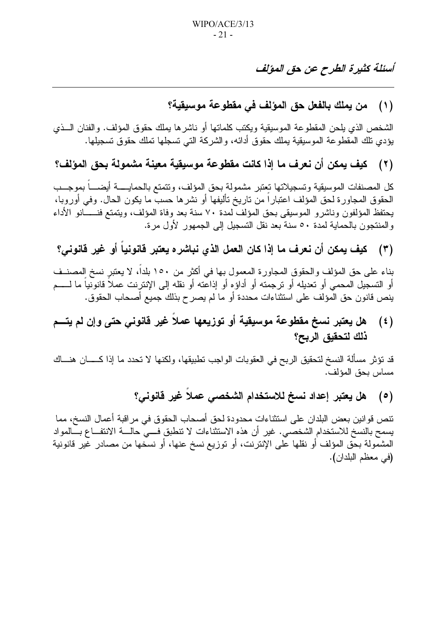## أسئلة كثيرة الطرح عن حق المؤلف

## (١) من يملك بالفعل حق المؤلف في مقطوعة موسيقية؟

الشخص الذي يلحن المقطوعة الموسيقية ويكتب كلماتها أو ناشرها يملك حقوق المؤلف. والفنان السذي يؤدي نلك المقطوعة الموسيقية بملك حقوق أدائه، والشركة التي تسجلها تملك حقوق تسجيلها.

#### كيف يمكن أن نعرف ما إذا كانت مقطوعة موسيقية معينة مشمولة بحق المؤلف؟  $(\mathbf{y})$

كل المصنفات الموسيقية وتسجيلاتها تعتبر مشمولة بحق المؤلف، ونتمتع بالحمايـــــة أيضــــاً بموجـــب الْحَقُوقِ الْمَجَاوِرِةِ لَحْقِ الْمُؤْلِّفِ اعْتِبَارِا مِنْ تَارِيخِ تَأْلَيْفِهَا أَوْ نَشْرِهَا حسب ما يكون الحال. وفي أوروبا، يحتفظ المؤلفون وناشرو الموسيقى بحق المؤلف لمدة ٧٠ سنة بعد وفاة المؤلف، ويتمتع فنــــَانو الأداء و المنتجون بالحماية لمدة ٥٠ سنة بعد نقل التسجيل إلى الجمهور لأول مر ة.

(٣) كيف يمكن أن نعرف ما إذا كان العمل الذي نباشر ه يعتبر قانونياً أو غير قانوني؟

بناء على حق المؤلف والحقوق المجاورة المعمول بها في أكثر من ١٥٠ بلدا، لا يعتبرٍ نسخ المصنــف أو التسجيل المحمى أو تعديله أو ترجمته أو أداؤه أو إذاعته أو نقله إلى الإنترنت عملاً قانونياً ما لـــــم ينص قانون حق المؤلف على استثناءات محددة أو ما لم يصر ح بذلك جميع أصحاب الحقوق.

#### هل يعتبر نسخ مقطوعة موسيقية أو توزيعها عملاً غير قانوني حتى وإن لم يتـــم  $(\epsilon)$ ذلك لتحقيق الربح؟

قد تؤثِّر مسألة النسخ لتحقيق الربح في العقوبات الواجب تطبيقها، ولكنها لا تحدد ما إذا كــــــان هنـــاك مساس بحق المؤلف.

#### هل يعتبر إعداد نسخ للاستخدام الشخصى عملاً غير قانوني؟  $(\circ)$

تنص قوانين بعض البلدان على استثناءات محدودة لحق أصحاب الحقوق في مراقبة أعمال النسخ، مما يسمح بالنسخ للاستخدام الشخصـي. غير أن هذه الاستثناءات لا تنطبق فـــي حالــــة الانتفـــاع بــــالمواد المشمولة بحق المؤلف أو نقلها على الإنترنت، أو توزيع نسخ عنها، أو نسخها من مصادر غير قانونية (في معظم البلدان).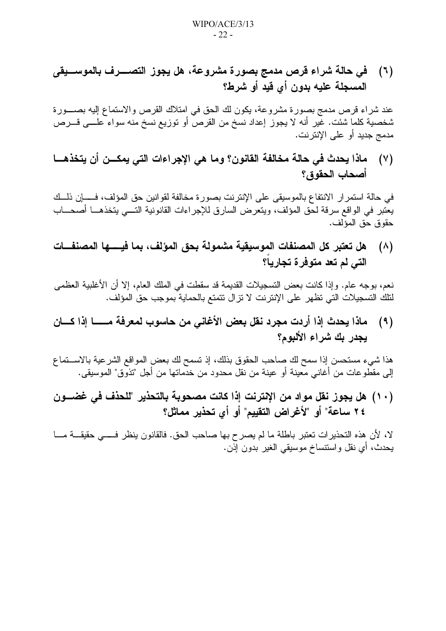(٦) في حالة شراء قرص مدمج بصورة مشروعة، هل يجوز التصــــرف بالموســــيقى المسجلة عليه بدون أي قيد أو شرط؟

عند شراء قرص مدمج بصورة مشروعة، يكون لك الحق في امتلاك القرص والاستماع إليه بصــــورة شخصية كلما شئت. غير أنه لا يجوز إعداد نسخ من القرص أو نوزيع نسخ منه سواء علــــي قــــرص مدمج جديد أو علي الإنتر نت.

(٧) ماذا يحدث في حالة مخالفة القانون؟ وما هي الإجراءات التي يمكـــن أن يتخذهـــا أصحاب الحقوق؟

في حالة استمرار الانتفاع بالموسيقى على الإنترنت بصورة مخالفة لقوانين حق المؤلف، فـــــإن ذلـــك يعتبر في الواقع سرقة لحق المؤلف، ويتعرض السارق للإجراءات القانونية التـــي يتخذهـــا أصحـــاب حقوق حق المؤلف.

(٨) هل تعتبر كل المصنفات الموسيقية مشمولة بحق المؤلف، بما فيــــها المصنفــات التي لم تعد متوفر ة تجارياً؟

نعم، بوجه عام. وإذا كانت بعض التسجيلات القديمة قد سقطت في الملك العام، إلا أن الأغلبية العظمى لتلك التسجيلات التي تظهر على الإنترنت لا تزال تتمتع بالحماية بموجب حق المؤلف.

(٩) ماذا يحدث إذا أردت مجرد نقل بعض الأغاني من حاسوب لمعرفة مــــــا إذا كــــان يجدر بك شراء الألبوم؟

هذا شيء مستحسن إذا سمح لك صاحب الحقوق بذلك، إذ تسمح لك بعض المواقع الشرعية بالاســتماع إلى مقطوعات من أغانـي معينـة أو عينـة من نقل مـحدود من خدمـاتـها من أجل "تذوق" الموسيقـي.

(١٠) هل يجوز نقل مواد من الإنترنت إذا كانت مصحوبة بالتحذير "للحذف في غضـــون ٢٤ ساعة" أو "لأغراض التقييم" أو أي تحذير مماثل؟

لا، لأن هذه التحذيرات تعتبر باطلة ما لم يصرح بها صاحب الحق. فالقانون ينظر فــــي حقيقـــة مـــا يحدث، أي نقل واستنساخ موسيقى الغير بدون إِذْنٍ.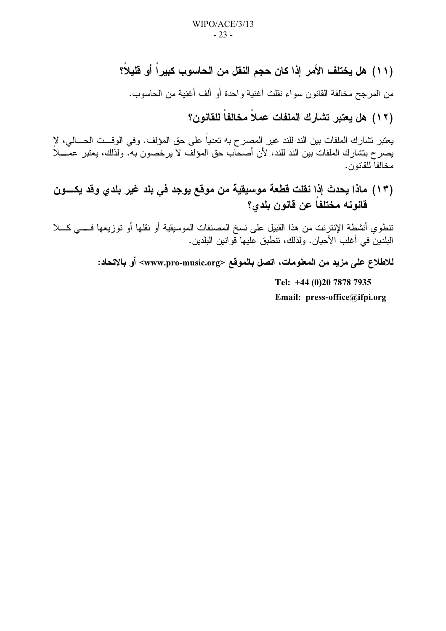(١١) هل يختلف الأمر. إذا كان حجم النقل من الحاسوب كبيراً أو قليلاً؟

من المر جح مخالفة القانون سواء نقلت أغنية واحدة أو ألف أغنية من الحاسوب.

(١٢) هل يعتبر تشارك الملفات عملاً مخالفاً للقانون؟

يعتبر نشارك الملفات بين الند للند غير المصرح به تعدياً على حق المؤلف. وفي الوقـــت الحـــالي، لإ يصرح بتشارك الملفات بين الند للند، لأن أصحاب حق المؤلف لا يرخصون به. ولذلك، يعتبر عمــــلاً مخالفا للقانون.

(١٣) ماذا يحدث إذا نقلت قطعة موسيقية من موقع يوجد في بلد غير بلدي وقد يكسون قانونه مختلفاً عن قانون بلدى؟

تنطوي أنشطة الإنترنت من هذا القبيل على نسخ المصنفات الموسيقية أو نقلها أو توزيعها فــــي كـــلا البلدينَ في أغلب الأحيان. ولذلك، تنطبق عليها قوانين البلدين.

للاطلاع على مزيد من المعلومات، اتصل بالموقع <www.pro-music.org> أو بالاتحاد:

Tel: +44 (0)20 7878 7935 Email: press-office@ifpi.org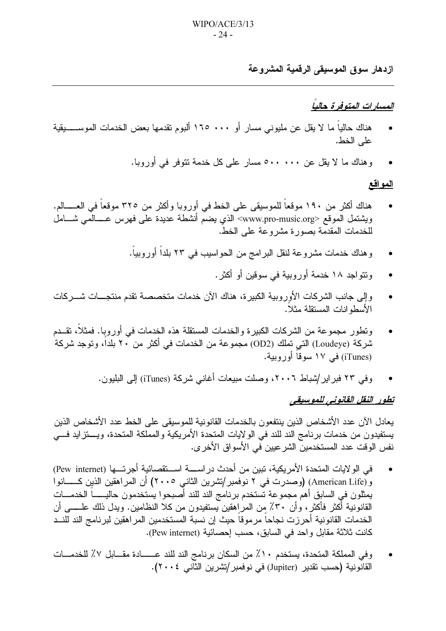ازدهار سوق الموسيقى الرقمية المشروعة

#### المسارات المتوفر ة حالباً

- هناك حالياً ما لا يقل عن مليوني مسارٍ أو ١٦٥ .٠٠ ألبوم تقدمها بعض الخدمات الموســــــيقية على الخط.
	- وهناك ما لا يقل عن ٥٠٠ ٥٠٠ مسار على كل خدمة تتوفر في أوروبا.

#### <u>المواقع</u>

- هناك أكثر من ١٩٠ موقعاً للموسيقى على الخط في أوروبا وأكثر من ٣٢٥ موقعاً في العــــالم. ويشتمل الموقع <www.pro-music.org> الذي يضمّ أنشطة عديدة على فهرس عــــالْمي شــــامل للخدمات المقدَّمة بصورة مشروعة على الخط.
	- وهناك خدمات مشروعة لنقل البرامج من الحواسيب في ٢٣ بلداً أوروبياً.
		- و تتو اجد ١٨ خدمة أور وبية في سوقين أو أكثر .
- وإلى جانب الشركات الأوروبية الكبيرة، هناك الآن خدمات متخصصة تقدم منتجــــات شــــركات الأسطو انات المستقلة مثلاً.
- وتطور مجموعة من الشركات الكبيرة والخدمات المستقلة هذه الخدمات في أوروبا. فمثلاً، تقــدم شركة (Loudeye) التي تملك (OD2) مجموعة من الخدمات في أكثر من ٢٠ بلدا، وتوجد شركة (iTunes) في ١٧ سوقا أور وبية.
	- وفي ٢٣ فبراير/شباط ٢٠٠٦، وصلت مبيعات أغاني شركة (iTunes) إلى البليون.

#### تطور النقل القانوني للموسيقي

بعادل الآن عدد الأشخاص الذين بنتفعون بالخدمات القانونية للموسبقي على الخط عدد الأشخاص الذين يستفيدون من خدمات برنامج الند للند في الولايات المتحدة الأمريكية والمملكة المتحدة، ويستزايد فسي نفس الوقت عدد المستخدمين الشر عيين في الأسواق الأخرى.

- في الولايات المتحدة الأمريكية، تبين من أحدث در اســــة اســـتقصـائية أجرتـــها (Pew internet)  $\bullet$ و (American Life) (وصدرت في ٢ نوفمبر/تشرين الثاني ٢٠٠٥) أن المراهقين الذين كـــــانوا يمثلون في السابق أهم مجموعة تستخدم برنامج الند للند أصبحوا يستخدمون حاليـــــا الخدمــــات القانونية أكثر فأكثر ، وأن ٣٠٪ من المراهقين يستفيدون من كلا النظامين. ويدل ذلك علـــــى أن الخدمات القانونية أحرزت نجاحاً مرموقاً حيث إن نسبة المستخدمين المراهقين لبرنامج الند للنسد كانت ثلاثة مقابل واحد في السابق، حسب إحصائية (Pew internet).
- وفي المملكة المتحدة، يستخدم ١٠٪ من السكان برنامج الند للند عــــــادة مقـــابل ٧٪ للخدمـــات القانونية (حسب تقدير (Jupiter) في نوفمبر/تشرين الثاني ٢٠٠٤).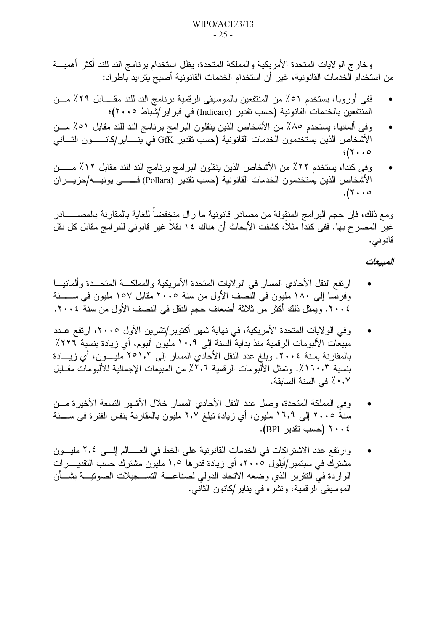وخارج الولايات المتحدة الأمريكية والمملكة المتحدة، يظل استخدام برنامج الند للند أكثر أهميـــة من استخدام الخدمات القانونية، غير أن استخدام الخدمات القانونية أصبح يتزايد باطراد:

- ففي أوروبا، يستخدم ٥١٪ من المنتفعين بالموسيقى الرقمية برنامج الند للند مقــــابل ٢٩٪ مـــن  $\bullet$ المنتفعين بالخدمات القانونية (حسب تقدير (Indicare) في فبر اير /شباط ٢٠٠٥)؛
- وفي ألمانيا، يستخدم ٨٥٪ من الأشخاص الذين ينقلون البرامج برنامج الند للند مقابل ٥١٪ مـــن  $\bullet$ الأشخاص الذين يستخدمون الخدمات القانونية (حسب تقدير GfK في ينـــــاير/كانـــــــون الثـــانـي  $\frac{1}{2}$  (۲...
- وفي كندا، يستخدم ٢٢٪ من الأشخاص الذين ينقلون البر امج برنامج الند للند مقابل ١٢٪ مـــــن الأشخاص الذين يستخدمون الخدمات القانونية (حسب نقدير (Pollara) فــــــــى يونيـــــه/حزيــــران  $.$ (۲۰۰ $\circ$

ومع ذلك، فإن حجم البرامج المنقولة من مصادر قانونية ما زال منخفضاً للغاية بالمقارنة بالمصــــــادر غير ۖ المصر ح بها. ففي كندا مثلاً، كشفت الأبحاث أن هناك ١٤ نقلاً غير قانوني للبر امج مقابل كل نقل قانوني.

#### المبيعات

- ارتفع النقل الأحادي المسار في الولايات المتحدة الأمريكية والمملكـــة المتحـــدة وألمانيـــا وفرنسا إلى ١٨٠ مليون في النصف الأول من سنة ٢٠٠٥ مقابل ١٥٧ مليون في ســــــنة ٢٠٠٤. ويمثل ذلك أكثر من ثلاثة أضعاف حجم النقل في النصف الأول من سنة ٢٠٠٤.
- وفي الولايات المتحدة الأمريكية، في نهاية شهر أكتوبر/تشرين الأول ٢٠٠٥، ارتفع عــدد مبيعات الألبومات الرقمية منذ بداية السنة إلى ١٠٫٩ مليون ألبوم، أي زيادة بنسبة ٢٢٢٪ بالمقارنة بسنة ٢٠٠٤. وبلغ عدد النقل الأحادي المسار إلى ٢٥١,٣ مليــــون، أي زيــــادة بنسبة ١٦٠,٣٪. وتمثِّل الأَلْبومات الرقمية ٢,٦٪ من المبيعات الإجمالية للألبومات مقــلبل ٠٫٧٪ في السنة السابقة.
- وفي المملكة المتحدة، وصل عدد النقل الأحادي المسار خلال الأشهر التسعة الأخيرة مـــن سنة ٢٠٠٥ إلى ١٦٫٩ مليون، أي زيادة تبلغ ٢٫٧ مليون بالمقارنة بنفس الفترة في ســـنة ٢٠٠٤ (حسب تقدير BPI).
- وارتفع عدد الاشتراكات في الخدمات القانونية على الخط في العــــالم إلـــي ٢٠٤ مليـــون مشترك في سبتمبر /أيلول ٢٠٠٥، أي زيادة قدر ها ١٫٥ مليون مشترك حسب التقديــــرات الواردة في النقرير الذي وضعه الاتحاد الدولي لصناعــــة التســـجيلات الصوتيــــة بشــــأن الموسيقى الرقمية، ونشره في يناير/كانون الثانبي.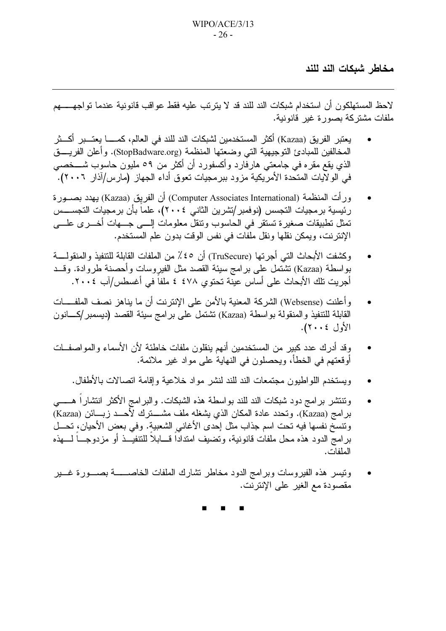مخاطر شبكات الند للند

لاحظ المستهلكون أن استخدام شبكات الند للند قد لا يترتب عليه فقط عواقب قانونية عندما تواجههم ملفات مشتركة بصورة غير قانونية.

- يعتبر الفريق (Kazaa) أكثر المستخدمين لشبكات الند للند في العالم، كمـــــا يعتـــبر أكـــثر المخالفين للمبادئ التوجيهية التي وضعتها المنظمة (StopBadware.org). وأعلن الفريــــق الذي يقع مقره فـي جامعتـي هارفارد وأكسفورد أن أكثر من ٥٩ مليون حاسوب شــــخصـي في الولاّيات المتحدة الأمريكية مزود ببرمجيات تعوق أداء الجهاز (مارس/آذار ٢٠٠٦).
- ورأت المنظمة (Computer Associates International) أن الفريق (Kazaa) يهدد بصــورة رِ ئِيسِية برِ مجيات التجسس (نوفِمبرِ /تشرِين الثاني ٢٠٠٤)، علماً بأن برِ مجيات التجســــس تمثل تطبيقات صغيرة تستقر في الحاسوب ونتقل معلومات إلـــي جـــهات أخـــرى علــــي الإنترنت، ويمكن نقلها ونقل ملفات في نفس الوقت بدون علم المستخدم.
- وكشفت الأبحاث التي أجرتها (TruSecure) أن ٤٥٪ من الملفات القابلة للتنفيذ والمنقولــــة بواسطة (Kazaa) تشتَّمل على برامج سيئة القصد مثل الفيروسات وأحصنة طروادة. وقــد أجريت نلك الأبحاث على أساس عيّنة تحتوي ٤٧٨ ٤ ملفاً في أغسطس/آب ٢٠٠٤.
- وأعلنت (Websense) الشركة المعنية بالأمن على الإنترنت أن ما يناهز نصف الملفــــات القابلة للتنفيذ والمنقولة بواسطة (Kazaa) تشتمل على برامج سيئة القصد (ديسمبر/كـــانون الأول ٢٠٠٤).
- وقد أدرك عدد كبير من المستخدمين أنهم ينقلون ملفات خاطئة لأن الأسماء والمواصفــات أوقعتهم في الخطأ، ويحصلون في النهاية على مواد غير ملائمة.
	- ويستخدم اللواطيون مجتمعات الند للند لنشر مواد خلاعية وإقامة انصالات بالأطفال.
- وتنتشر برامج دود شبكات الند للند بواسطة هذه الشبكات. والبرامج الأكثر انتشاراً هـــــي بر امج (Kazaa). وتحدد عادة المكان الذي يشغله ملف مشـــــترك لأحــــد زبـــــائن (Kazaa) ونتسخ نفسها فيه نحت اسم جذاب مثل إحدى الأغانبي الشعبية. وفي بعض الأحيان، نحـــل برامج الدود هذه محل ملفات قانونية، وتضيف امتداداً قــــابلاً للتنفيـــذ أو مزدوجـــاً لــــهذه الملفات.
- ونيسر هذه الفيروسات وبرامج الدود مخاطر نشارك الملفات الخاصـــــة بصـــورة غـــير مقصودة مع الغير على الإنترنت.